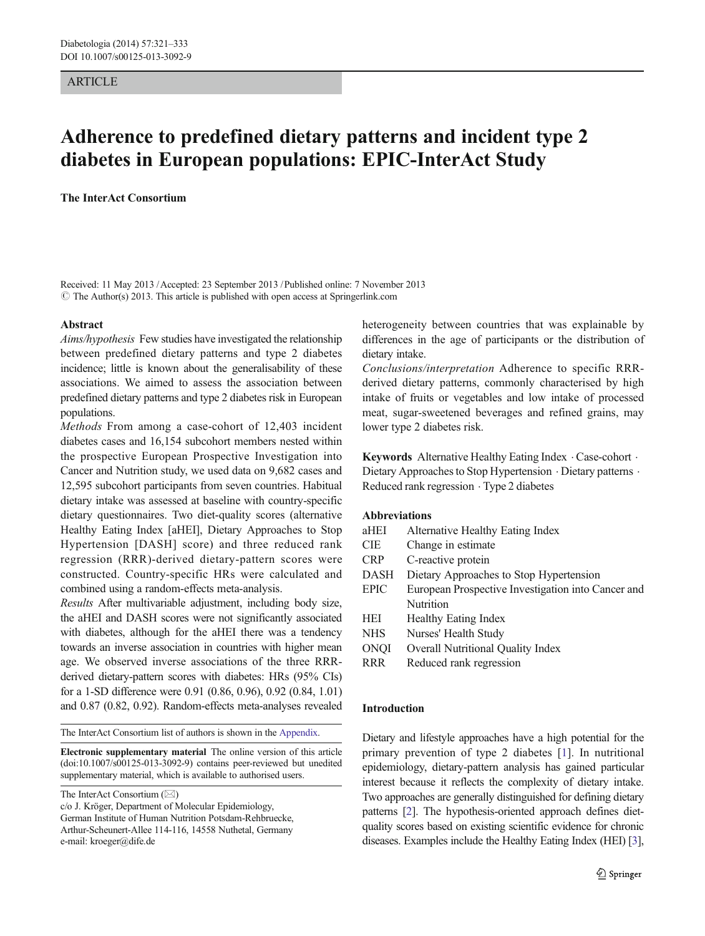## **ARTICLE**

# Adherence to predefined dietary patterns and incident type 2 diabetes in European populations: EPIC-InterAct Study

The InterAct Consortium

Received: 11 May 2013 /Accepted: 23 September 2013 /Published online: 7 November 2013  $\odot$  The Author(s) 2013. This article is published with open access at Springerlink.com

#### Abstract

Aims/hypothesis Few studies have investigated the relationship between predefined dietary patterns and type 2 diabetes incidence; little is known about the generalisability of these associations. We aimed to assess the association between predefined dietary patterns and type 2 diabetes risk in European populations.

Methods From among a case-cohort of 12,403 incident diabetes cases and 16,154 subcohort members nested within the prospective European Prospective Investigation into Cancer and Nutrition study, we used data on 9,682 cases and 12,595 subcohort participants from seven countries. Habitual dietary intake was assessed at baseline with country-specific dietary questionnaires. Two diet-quality scores (alternative Healthy Eating Index [aHEI], Dietary Approaches to Stop Hypertension [DASH] score) and three reduced rank regression (RRR)-derived dietary-pattern scores were constructed. Country-specific HRs were calculated and combined using a random-effects meta-analysis.

Results After multivariable adjustment, including body size, the aHEI and DASH scores were not significantly associated with diabetes, although for the aHEI there was a tendency towards an inverse association in countries with higher mean age. We observed inverse associations of the three RRRderived dietary-pattern scores with diabetes: HRs (95% CIs) for a 1-SD difference were 0.91 (0.86, 0.96), 0.92 (0.84, 1.01) and 0.87 (0.82, 0.92). Random-effects meta-analyses revealed

The InterAct Consortium list of authors is shown in the [Appendix](#page-10-0).

Electronic supplementary material The online version of this article (doi[:10.1007/s00125-013-3092-9](http://dx.doi.org/10.1007/s00125-013-3092-9)) contains peer-reviewed but unedited supplementary material, which is available to authorised users.

The InterAct Consortium  $(\boxtimes)$ 

heterogeneity between countries that was explainable by differences in the age of participants or the distribution of dietary intake.

Conclusions/interpretation Adherence to specific RRRderived dietary patterns, commonly characterised by high intake of fruits or vegetables and low intake of processed meat, sugar-sweetened beverages and refined grains, may lower type 2 diabetes risk.

Keywords Alternative Healthy Eating Index . Case-cohort . Dietary Approaches to Stop Hypertension . Dietary patterns . Reduced rank regression . Type 2 diabetes

## Abbreviations

- aHEI Alternative Healthy Eating Index
- CIE Change in estimate
- CRP C-reactive protein
- DASH Dietary Approaches to Stop Hypertension
- EPIC European Prospective Investigation into Cancer and Nutrition
- HEI Healthy Eating Index
- NHS Nurses' Health Study
- ONQI Overall Nutritional Quality Index
- RRR Reduced rank regression

#### Introduction

Dietary and lifestyle approaches have a high potential for the primary prevention of type 2 diabetes [\[1](#page-11-0)]. In nutritional epidemiology, dietary-pattern analysis has gained particular interest because it reflects the complexity of dietary intake. Two approaches are generally distinguished for defining dietary patterns [\[2](#page-11-0)]. The hypothesis-oriented approach defines dietquality scores based on existing scientific evidence for chronic diseases. Examples include the Healthy Eating Index (HEI) [\[3\]](#page-11-0),

c/o J. Kröger, Department of Molecular Epidemiology, German Institute of Human Nutrition Potsdam-Rehbruecke, Arthur-Scheunert-Allee 114-116, 14558 Nuthetal, Germany e-mail: kroeger@dife.de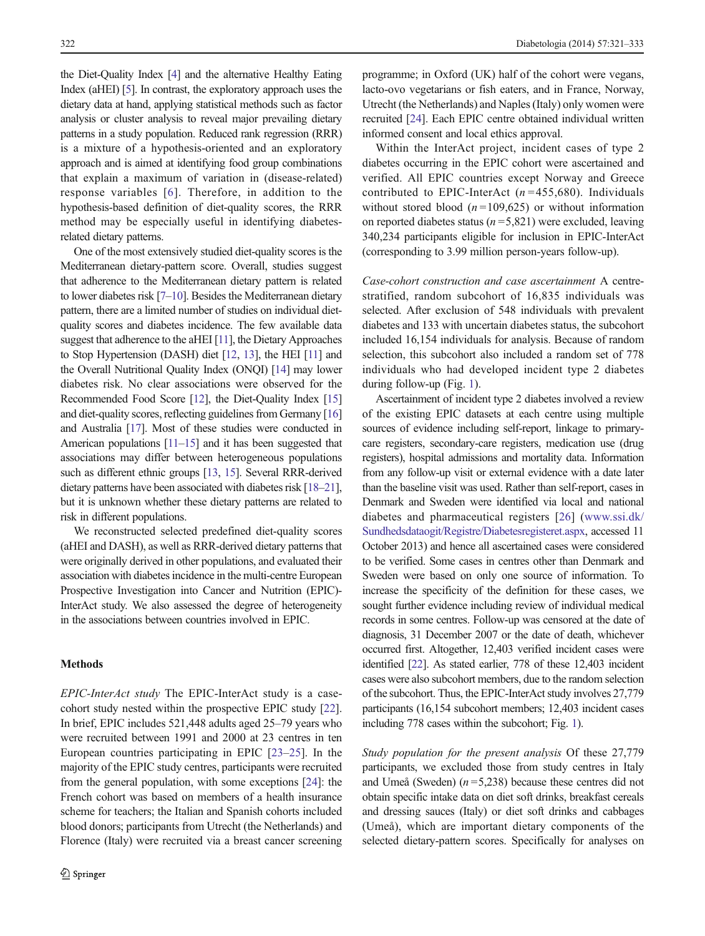<span id="page-1-0"></span>the Diet-Quality Index [[4](#page-11-0)] and the alternative Healthy Eating Index (aHEI) [\[5\]](#page-11-0). In contrast, the exploratory approach uses the dietary data at hand, applying statistical methods such as factor analysis or cluster analysis to reveal major prevailing dietary patterns in a study population. Reduced rank regression (RRR) is a mixture of a hypothesis-oriented and an exploratory approach and is aimed at identifying food group combinations that explain a maximum of variation in (disease-related) response variables [[6](#page-11-0)]. Therefore, in addition to the hypothesis-based definition of diet-quality scores, the RRR method may be especially useful in identifying diabetesrelated dietary patterns.

One of the most extensively studied diet-quality scores is the Mediterranean dietary-pattern score. Overall, studies suggest that adherence to the Mediterranean dietary pattern is related to lower diabetes risk [\[7](#page-11-0)–[10](#page-11-0)]. Besides the Mediterranean dietary pattern, there are a limited number of studies on individual dietquality scores and diabetes incidence. The few available data suggest that adherence to the aHEI [\[11](#page-11-0)], the Dietary Approaches to Stop Hypertension (DASH) diet [[12](#page-11-0), [13](#page-11-0)], the HEI [\[11](#page-11-0)] and the Overall Nutritional Quality Index (ONQI) [\[14\]](#page-11-0) may lower diabetes risk. No clear associations were observed for the Recommended Food Score [\[12\]](#page-11-0), the Diet-Quality Index [\[15\]](#page-11-0) and diet-quality scores, reflecting guidelines from Germany [\[16\]](#page-11-0) and Australia [[17](#page-11-0)]. Most of these studies were conducted in American populations [[11](#page-11-0)–[15](#page-11-0)] and it has been suggested that associations may differ between heterogeneous populations such as different ethnic groups [[13](#page-11-0), [15](#page-11-0)]. Several RRR-derived dietary patterns have been associated with diabetes risk [[18](#page-11-0)–[21\]](#page-11-0), but it is unknown whether these dietary patterns are related to risk in different populations.

We reconstructed selected predefined diet-quality scores (aHEI and DASH), as well as RRR-derived dietary patterns that were originally derived in other populations, and evaluated their association with diabetes incidence in the multi-centre European Prospective Investigation into Cancer and Nutrition (EPIC)- InterAct study. We also assessed the degree of heterogeneity in the associations between countries involved in EPIC.

### Methods

EPIC-InterAct study The EPIC-InterAct study is a casecohort study nested within the prospective EPIC study [[22\]](#page-11-0). In brief, EPIC includes 521,448 adults aged 25–79 years who were recruited between 1991 and 2000 at 23 centres in ten European countries participating in EPIC [\[23](#page-12-0)–[25](#page-12-0)]. In the majority of the EPIC study centres, participants were recruited from the general population, with some exceptions [[24](#page-12-0)]: the French cohort was based on members of a health insurance scheme for teachers; the Italian and Spanish cohorts included blood donors; participants from Utrecht (the Netherlands) and Florence (Italy) were recruited via a breast cancer screening programme; in Oxford (UK) half of the cohort were vegans, lacto-ovo vegetarians or fish eaters, and in France, Norway, Utrecht (the Netherlands) and Naples (Italy) only women were recruited [\[24](#page-12-0)]. Each EPIC centre obtained individual written informed consent and local ethics approval.

Within the InterAct project, incident cases of type 2 diabetes occurring in the EPIC cohort were ascertained and verified. All EPIC countries except Norway and Greece contributed to EPIC-InterAct ( $n = 455,680$ ). Individuals without stored blood  $(n=109,625)$  or without information on reported diabetes status ( $n = 5,821$ ) were excluded, leaving 340,234 participants eligible for inclusion in EPIC-InterAct (corresponding to 3.99 million person-years follow-up).

Case-cohort construction and case ascertainment A centrestratified, random subcohort of 16,835 individuals was selected. After exclusion of 548 individuals with prevalent diabetes and 133 with uncertain diabetes status, the subcohort included 16,154 individuals for analysis. Because of random selection, this subcohort also included a random set of 778 individuals who had developed incident type 2 diabetes during follow-up (Fig. [1\)](#page-2-0).

Ascertainment of incident type 2 diabetes involved a review of the existing EPIC datasets at each centre using multiple sources of evidence including self-report, linkage to primarycare registers, secondary-care registers, medication use (drug registers), hospital admissions and mortality data. Information from any follow-up visit or external evidence with a date later than the baseline visit was used. Rather than self-report, cases in Denmark and Sweden were identified via local and national diabetes and pharmaceutical registers [\[26\]](#page-12-0) ([www.ssi.dk/](http://www.ssi.dk/Sundhedsdataogit/Registre/Diabetesregisteret.aspx) [Sundhedsdataogit/Registre/Diabetesregisteret.aspx](http://www.ssi.dk/Sundhedsdataogit/Registre/Diabetesregisteret.aspx), accessed 11 October 2013) and hence all ascertained cases were considered to be verified. Some cases in centres other than Denmark and Sweden were based on only one source of information. To increase the specificity of the definition for these cases, we sought further evidence including review of individual medical records in some centres. Follow-up was censored at the date of diagnosis, 31 December 2007 or the date of death, whichever occurred first. Altogether, 12,403 verified incident cases were identified [\[22](#page-11-0)]. As stated earlier, 778 of these 12,403 incident cases were also subcohort members, due to the random selection of the subcohort. Thus, the EPIC-InterAct study involves 27,779 participants (16,154 subcohort members; 12,403 incident cases including 778 cases within the subcohort; Fig. [1\)](#page-2-0).

Study population for the present analysis Of these 27,779 participants, we excluded those from study centres in Italy and Umeå (Sweden)  $(n=5,238)$  because these centres did not obtain specific intake data on diet soft drinks, breakfast cereals and dressing sauces (Italy) or diet soft drinks and cabbages (Umeå), which are important dietary components of the selected dietary-pattern scores. Specifically for analyses on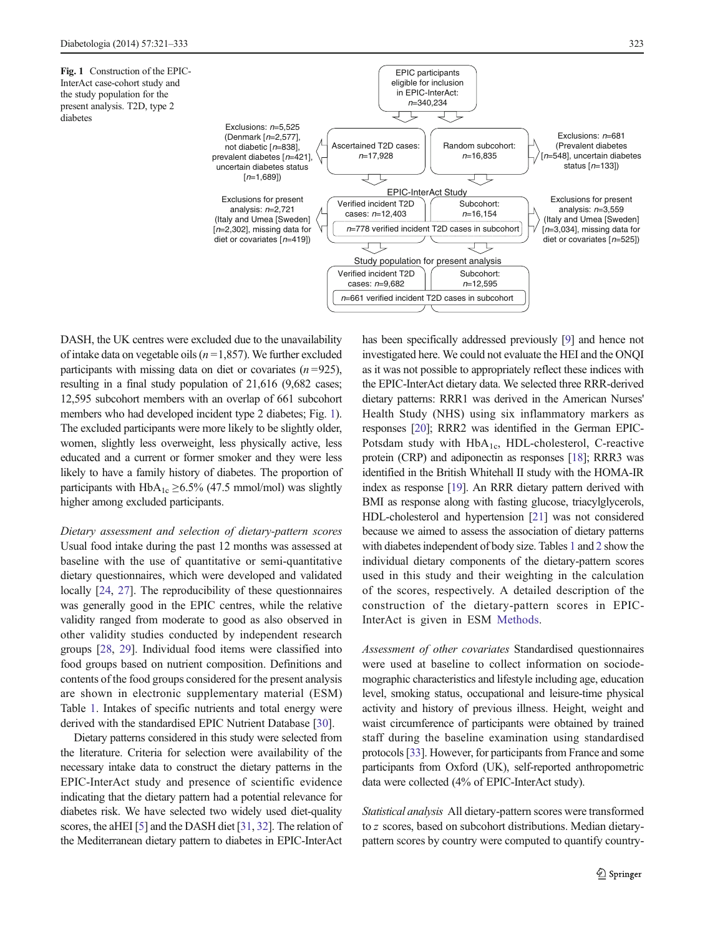<span id="page-2-0"></span>Fig. 1 Construction of the EPIC-InterAct case-cohort study and the study population for the present analysis. T2D, type 2 diabetes



DASH, the UK centres were excluded due to the unavailability of intake data on vegetable oils ( $n = 1,857$ ). We further excluded participants with missing data on diet or covariates  $(n=925)$ , resulting in a final study population of 21,616 (9,682 cases; 12,595 subcohort members with an overlap of 661 subcohort members who had developed incident type 2 diabetes; Fig. 1). The excluded participants were more likely to be slightly older, women, slightly less overweight, less physically active, less educated and a current or former smoker and they were less likely to have a family history of diabetes. The proportion of participants with  $HbA_{1c} \geq 6.5\%$  (47.5 mmol/mol) was slightly higher among excluded participants.

Dietary assessment and selection of dietary-pattern scores Usual food intake during the past 12 months was assessed at baseline with the use of quantitative or semi-quantitative dietary questionnaires, which were developed and validated locally [[24,](#page-12-0) [27\]](#page-12-0). The reproducibility of these questionnaires was generally good in the EPIC centres, while the relative validity ranged from moderate to good as also observed in other validity studies conducted by independent research groups [[28](#page-12-0), [29\]](#page-12-0). Individual food items were classified into food groups based on nutrient composition. Definitions and contents of the food groups considered for the present analysis are shown in electronic supplementary material (ESM) Table 1. Intakes of specific nutrients and total energy were derived with the standardised EPIC Nutrient Database [[30](#page-12-0)].

Dietary patterns considered in this study were selected from the literature. Criteria for selection were availability of the necessary intake data to construct the dietary patterns in the EPIC-InterAct study and presence of scientific evidence indicating that the dietary pattern had a potential relevance for diabetes risk. We have selected two widely used diet-quality scores, the aHEI [\[5\]](#page-11-0) and the DASH diet [\[31,](#page-12-0) [32\]](#page-12-0). The relation of the Mediterranean dietary pattern to diabetes in EPIC-InterAct has been specifically addressed previously [[9](#page-11-0)] and hence not investigated here. We could not evaluate the HEI and the ONQI as it was not possible to appropriately reflect these indices with the EPIC-InterAct dietary data. We selected three RRR-derived dietary patterns: RRR1 was derived in the American Nurses' Health Study (NHS) using six inflammatory markers as responses [\[20](#page-11-0)]; RRR2 was identified in the German EPIC-Potsdam study with  $HbA_{1c}$ , HDL-cholesterol, C-reactive protein (CRP) and adiponectin as responses [\[18\]](#page-11-0); RRR3 was identified in the British Whitehall II study with the HOMA-IR index as response [\[19\]](#page-11-0). An RRR dietary pattern derived with BMI as response along with fasting glucose, triacylglycerols, HDL-cholesterol and hypertension [\[21\]](#page-11-0) was not considered because we aimed to assess the association of dietary patterns with diabetes independent of body size. Tables [1](#page-3-0) and [2](#page-4-0) show the individual dietary components of the dietary-pattern scores used in this study and their weighting in the calculation of the scores, respectively. A detailed description of the construction of the dietary-pattern scores in EPIC-InterAct is given in ESM Methods.

Assessment of other covariates Standardised questionnaires were used at baseline to collect information on sociodemographic characteristics and lifestyle including age, education level, smoking status, occupational and leisure-time physical activity and history of previous illness. Height, weight and waist circumference of participants were obtained by trained staff during the baseline examination using standardised protocols [\[33\]](#page-12-0). However, for participants from France and some participants from Oxford (UK), self-reported anthropometric data were collected (4% of EPIC-InterAct study).

Statistical analysis All dietary-pattern scores were transformed to z scores, based on subcohort distributions. Median dietarypattern scores by country were computed to quantify country-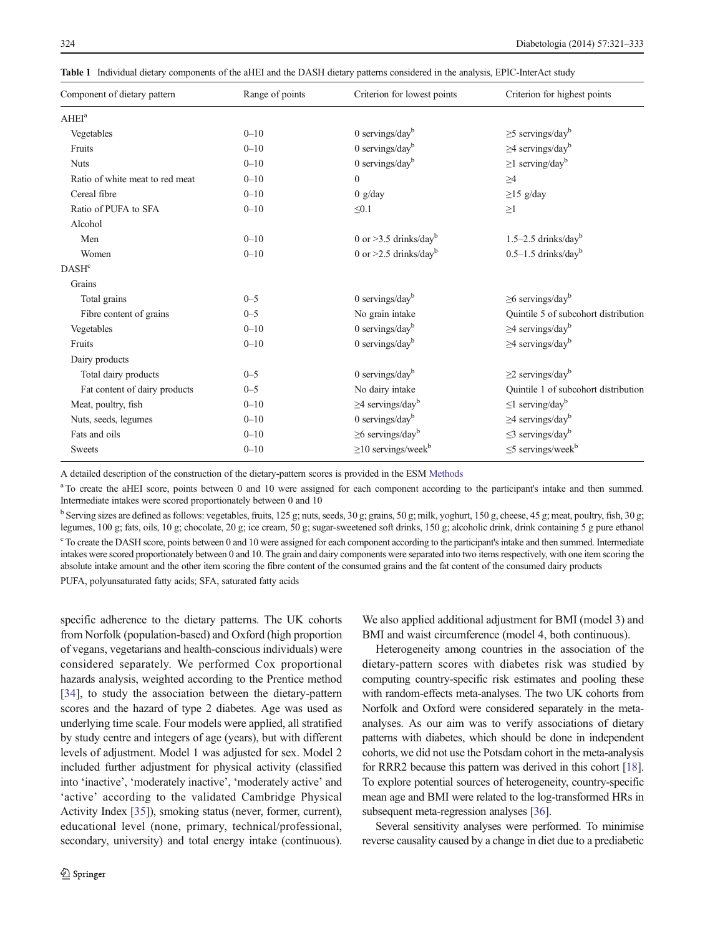<span id="page-3-0"></span>Table 1 Individual dietary components of the aHEI and the DASH dietary patterns considered in the analysis, EPIC-InterAct study

| Component of dietary pattern    | Range of points | Criterion for lowest points          | Criterion for highest points         |
|---------------------------------|-----------------|--------------------------------------|--------------------------------------|
| AHEI <sup>a</sup>               |                 |                                      |                                      |
| Vegetables                      | $0 - 10$        | $0$ servings/day <sup>b</sup>        | $\geq$ 5 servings/day <sup>b</sup>   |
| Fruits                          | $0 - 10$        | 0 servings/day $\rm^b$               | $\geq$ 4 servings/day <sup>b</sup>   |
| <b>Nuts</b>                     | $0 - 10$        | 0 servings/day $^{b}$                | $\geq$ 1 serving/day <sup>b</sup>    |
| Ratio of white meat to red meat | $0 - 10$        | $\mathbf{0}$                         | $\geq$ 4                             |
| Cereal fibre                    | $0 - 10$        | 0 g/day                              | $\geq$ 15 g/day                      |
| Ratio of PUFA to SFA            | $0 - 10$        | $\leq 0.1$                           | $\geq$ 1                             |
| Alcohol                         |                 |                                      |                                      |
| Men                             | $0 - 10$        | 0 or $>3.5$ drinks/day <sup>b</sup>  | $1.5 - 2.5$ drinks/day <sup>b</sup>  |
| Women                           | $0 - 10$        | 0 or $>2.5$ drinks/day <sup>b</sup>  | $0.5-1.5$ drinks/day <sup>b</sup>    |
| DASH <sup>c</sup>               |                 |                                      |                                      |
| Grains                          |                 |                                      |                                      |
| Total grains                    | $0 - 5$         | $0$ servings/day <sup>b</sup>        | $\geq$ 6 servings/day <sup>b</sup>   |
| Fibre content of grains         | $0 - 5$         | No grain intake                      | Quintile 5 of subcohort distribution |
| Vegetables                      | $0 - 10$        | $0$ servings/day <sup>b</sup>        | $\geq$ 4 servings/day <sup>b</sup>   |
| Fruits                          | $0 - 10$        | 0 servings/day $^{b}$                | $\geq$ 4 servings/day <sup>b</sup>   |
| Dairy products                  |                 |                                      |                                      |
| Total dairy products            | $0 - 5$         | $0$ servings/day <sup>b</sup>        | $\geq$ 2 servings/day <sup>b</sup>   |
| Fat content of dairy products   | $0 - 5$         | No dairy intake                      | Quintile 1 of subcohort distribution |
| Meat, poultry, fish             | $0 - 10$        | $\geq$ 4 servings/day <sup>b</sup>   | $\leq$ 1 serving/day <sup>b</sup>    |
| Nuts, seeds, legumes            | $0 - 10$        | $0$ servings/day $b$                 | $\geq$ 4 servings/day <sup>b</sup>   |
| Fats and oils                   | $0 - 10$        | $\geq$ 6 servings/day <sup>b</sup>   | $\leq$ 3 servings/dayb               |
| <b>Sweets</b>                   | $0 - 10$        | $\geq$ 10 servings/week <sup>b</sup> | $\leq$ 5 servings/week <sup>b</sup>  |

A detailed description of the construction of the dietary-pattern scores is provided in the ESM Methods

<sup>a</sup> To create the aHEI score, points between 0 and 10 were assigned for each component according to the participant's intake and then summed. Intermediate intakes were scored proportionately between 0 and 10

<sup>b</sup> Serving sizes are defined as follows: vegetables, fruits, 125 g; nuts, seeds, 30 g; grains, 50 g; milk, yoghurt, 150 g, cheese, 45 g; meat, poultry, fish, 30 g; legumes, 100 g; fats, oils, 10 g; chocolate, 20 g; ice cream, 50 g; sugar-sweetened soft drinks, 150 g; alcoholic drink, drink containing 5 g pure ethanol <sup>c</sup> To create the DASH score, points between 0 and 10 were assigned for each component according to the participant's intake and then summed. Intermediate intakes were scored proportionately between 0 and 10. The grain and dairy components were separated into two items respectively, with one item scoring the absolute intake amount and the other item scoring the fibre content of the consumed grains and the fat content of the consumed dairy products PUFA, polyunsaturated fatty acids; SFA, saturated fatty acids

specific adherence to the dietary patterns. The UK cohorts from Norfolk (population-based) and Oxford (high proportion of vegans, vegetarians and health-conscious individuals) were considered separately. We performed Cox proportional hazards analysis, weighted according to the Prentice method [\[34](#page-12-0)], to study the association between the dietary-pattern scores and the hazard of type 2 diabetes. Age was used as underlying time scale. Four models were applied, all stratified by study centre and integers of age (years), but with different levels of adjustment. Model 1 was adjusted for sex. Model 2 included further adjustment for physical activity (classified into 'inactive', 'moderately inactive', 'moderately active' and 'active' according to the validated Cambridge Physical Activity Index [\[35](#page-12-0)]), smoking status (never, former, current), educational level (none, primary, technical/professional, secondary, university) and total energy intake (continuous).

We also applied additional adjustment for BMI (model 3) and BMI and waist circumference (model 4, both continuous).

Heterogeneity among countries in the association of the dietary-pattern scores with diabetes risk was studied by computing country-specific risk estimates and pooling these with random-effects meta-analyses. The two UK cohorts from Norfolk and Oxford were considered separately in the metaanalyses. As our aim was to verify associations of dietary patterns with diabetes, which should be done in independent cohorts, we did not use the Potsdam cohort in the meta-analysis for RRR2 because this pattern was derived in this cohort [\[18\]](#page-11-0). To explore potential sources of heterogeneity, country-specific mean age and BMI were related to the log-transformed HRs in subsequent meta-regression analyses [\[36\]](#page-12-0).

Several sensitivity analyses were performed. To minimise reverse causality caused by a change in diet due to a prediabetic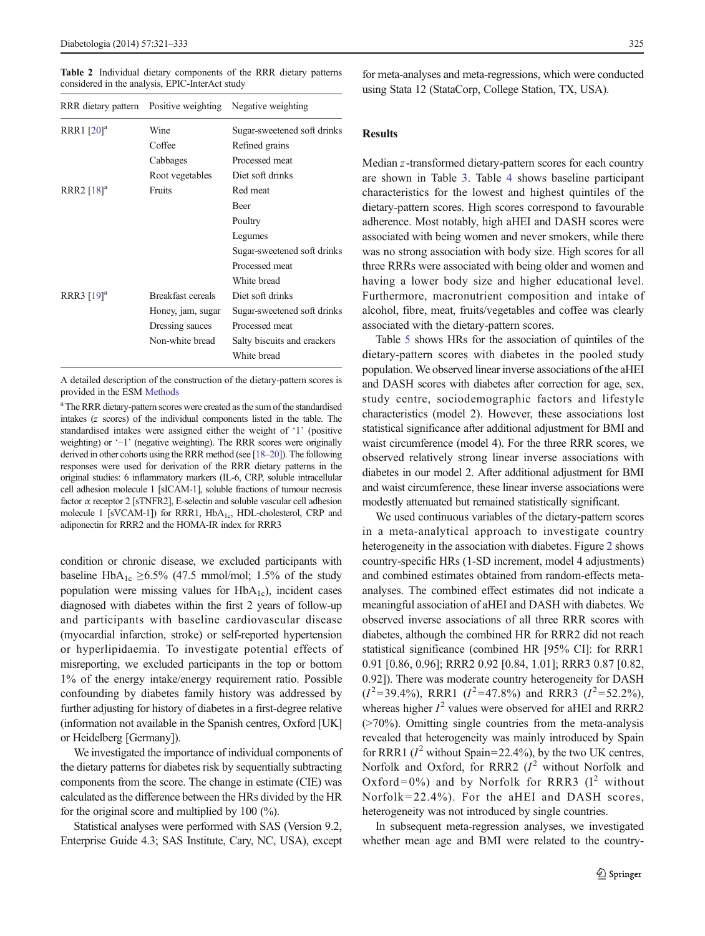<span id="page-4-0"></span>Table 2 Individual dietary components of the RRR dietary patterns considered in the analysis, EPIC-InterAct study

| RRR dietary pattern Positive weighting |                   | Negative weighting                            |
|----------------------------------------|-------------------|-----------------------------------------------|
| RRR1 [20] <sup>a</sup>                 | Wine<br>Coffee    | Sugar-sweetened soft drinks<br>Refined grains |
|                                        | Cabbages          | Processed meat                                |
|                                        | Root vegetables   | Diet soft drinks                              |
| RRR2 $[18]$ <sup>a</sup>               | Fruits            | Red meat                                      |
|                                        |                   | Beer                                          |
|                                        |                   | Poultry                                       |
|                                        |                   | Legumes                                       |
|                                        |                   | Sugar-sweetened soft drinks                   |
|                                        |                   | Processed meat                                |
|                                        |                   | White bread                                   |
| RRR3 [19] <sup>a</sup>                 | Breakfast cereals | Diet soft drinks                              |
|                                        | Honey, jam, sugar | Sugar-sweetened soft drinks                   |
|                                        | Dressing sauces   | Processed meat                                |
|                                        | Non-white bread   | Salty biscuits and crackers                   |
|                                        |                   | White bread                                   |
|                                        |                   |                                               |

A detailed description of the construction of the dietary-pattern scores is provided in the ESM Methods

<sup>a</sup> The RRR dietary-pattern scores were created as the sum of the standardised intakes (z scores) of the individual components listed in the table. The standardised intakes were assigned either the weight of '1' (positive weighting) or '−1' (negative weighting). The RRR scores were originally derived in other cohorts using the RRR method (see [\[18](#page-11-0)–[20\]](#page-11-0)). The following responses were used for derivation of the RRR dietary patterns in the original studies: 6 inflammatory markers (IL-6, CRP, soluble intracellular cell adhesion molecule 1 [sICAM-1], soluble fractions of tumour necrosis factor α receptor 2 [sTNFR2], E-selectin and soluble vascular cell adhesion molecule 1 [sVCAM-1]) for RRR1, HbA<sub>1c</sub>, HDL-cholesterol, CRP and adiponectin for RRR2 and the HOMA-IR index for RRR3

condition or chronic disease, we excluded participants with baseline HbA<sub>1c</sub> ≥6.5% (47.5 mmol/mol; 1.5% of the study population were missing values for  $HbA_{1c}$ , incident cases diagnosed with diabetes within the first 2 years of follow-up and participants with baseline cardiovascular disease (myocardial infarction, stroke) or self-reported hypertension or hyperlipidaemia. To investigate potential effects of misreporting, we excluded participants in the top or bottom 1% of the energy intake/energy requirement ratio. Possible confounding by diabetes family history was addressed by further adjusting for history of diabetes in a first-degree relative (information not available in the Spanish centres, Oxford [UK] or Heidelberg [Germany]).

We investigated the importance of individual components of the dietary patterns for diabetes risk by sequentially subtracting components from the score. The change in estimate (CIE) was calculated as the difference between the HRs divided by the HR for the original score and multiplied by 100 (%).

Statistical analyses were performed with SAS (Version 9.2, Enterprise Guide 4.3; SAS Institute, Cary, NC, USA), except

for meta-analyses and meta-regressions, which were conducted using Stata 12 (StataCorp, College Station, TX, USA).

## Results

Median z-transformed dietary-pattern scores for each country are shown in Table [3](#page-5-0). Table [4](#page-5-0) shows baseline participant characteristics for the lowest and highest quintiles of the dietary-pattern scores. High scores correspond to favourable adherence. Most notably, high aHEI and DASH scores were associated with being women and never smokers, while there was no strong association with body size. High scores for all three RRRs were associated with being older and women and having a lower body size and higher educational level. Furthermore, macronutrient composition and intake of alcohol, fibre, meat, fruits/vegetables and coffee was clearly associated with the dietary-pattern scores.

Table [5](#page-6-0) shows HRs for the association of quintiles of the dietary-pattern scores with diabetes in the pooled study population. We observed linear inverse associations of the aHEI and DASH scores with diabetes after correction for age, sex, study centre, sociodemographic factors and lifestyle characteristics (model 2). However, these associations lost statistical significance after additional adjustment for BMI and waist circumference (model 4). For the three RRR scores, we observed relatively strong linear inverse associations with diabetes in our model 2. After additional adjustment for BMI and waist circumference, these linear inverse associations were modestly attenuated but remained statistically significant.

We used continuous variables of the dietary-pattern scores in a meta-analytical approach to investigate country heterogeneity in the association with diabetes. Figure [2](#page-7-0) shows country-specific HRs (1-SD increment, model 4 adjustments) and combined estimates obtained from random-effects metaanalyses. The combined effect estimates did not indicate a meaningful association of aHEI and DASH with diabetes. We observed inverse associations of all three RRR scores with diabetes, although the combined HR for RRR2 did not reach statistical significance (combined HR [95% CI]: for RRR1 0.91 [0.86, 0.96]; RRR2 0.92 [0.84, 1.01]; RRR3 0.87 [0.82, 0.92]). There was moderate country heterogeneity for DASH  $(I^2=39.4\%)$ , RRR1  $(I^2=47.8\%)$  and RRR3  $(I^2=52.2\%)$ , whereas higher  $I^2$  values were observed for aHEI and RRR2 (>70%). Omitting single countries from the meta-analysis revealed that heterogeneity was mainly introduced by Spain for RRR1 ( $I^2$  without Spain=22.4%), by the two UK centres, Norfolk and Oxford, for RRR2  $(I^2$  without Norfolk and Oxford=0%) and by Norfolk for RRR3  $(I^2$  without Norfolk=22.4%). For the aHEI and DASH scores, heterogeneity was not introduced by single countries.

In subsequent meta-regression analyses, we investigated whether mean age and BMI were related to the country-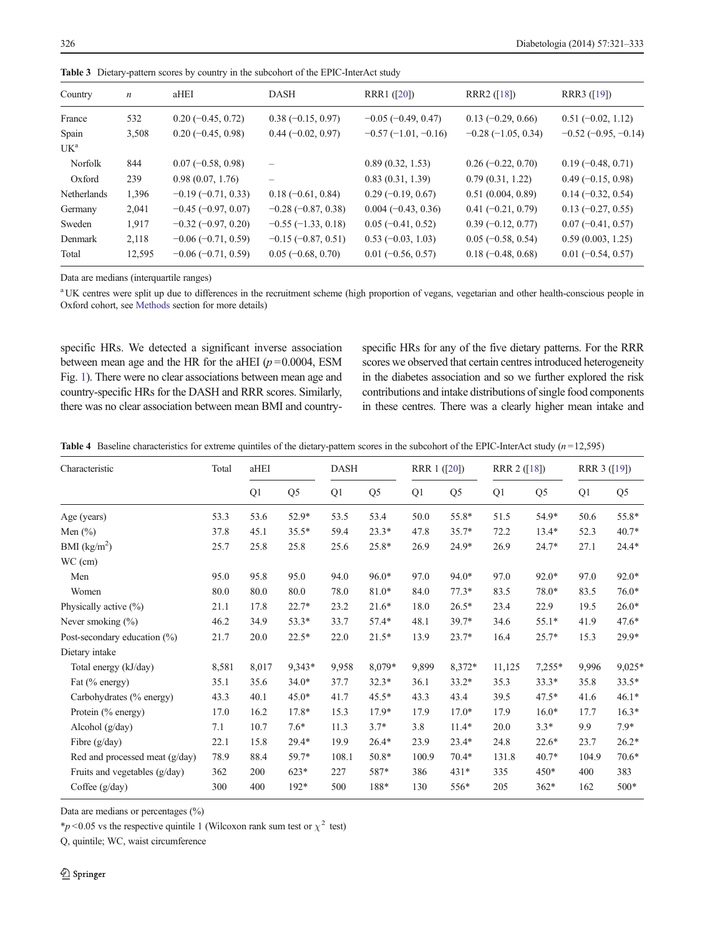| Country         | $\boldsymbol{n}$ | aHEI                  | DASH                     | RRR1 ([20])               | RRR2 $(18)$          | RRR3 $(19)$           |
|-----------------|------------------|-----------------------|--------------------------|---------------------------|----------------------|-----------------------|
| France          | 532              | $0.20 (-0.45, 0.72)$  | $0.38(-0.15, 0.97)$      | $-0.05$ ( $-0.49$ , 0.47) | $0.13 (-0.29, 0.66)$ | $0.51 (-0.02, 1.12)$  |
| Spain           | 3,508            | $0.20(-0.45, 0.98)$   | $0.44 (-0.02, 0.97)$     | $-0.57(-1.01,-0.16)$      | $-0.28(-1.05, 0.34)$ | $-0.52(-0.95, -0.14)$ |
| UK <sup>a</sup> |                  |                       |                          |                           |                      |                       |
| Norfolk         | 844              | $0.07 (-0.58, 0.98)$  |                          | 0.89(0.32, 1.53)          | $0.26 (-0.22, 0.70)$ | $0.19(-0.48, 0.71)$   |
| Oxford          | 239              | 0.98(0.07, 1.76)      | $\overline{\phantom{0}}$ | 0.83(0.31, 1.39)          | 0.79(0.31, 1.22)     | $0.49 (-0.15, 0.98)$  |
| Netherlands     | 1,396            | $-0.19(-0.71, 0.33)$  | $0.18 (-0.61, 0.84)$     | $0.29(-0.19, 0.67)$       | 0.51(0.004, 0.89)    | $0.14 (-0.32, 0.54)$  |
| Germany         | 2,041            | $-0.45 (-0.97, 0.07)$ | $-0.28(-0.87, 0.38)$     | $0.004 (-0.43, 0.36)$     | $0.41 (-0.21, 0.79)$ | $0.13 (-0.27, 0.55)$  |
| Sweden          | 1,917            | $-0.32(-0.97, 0.20)$  | $-0.55(-1.33, 0.18)$     | $0.05(-0.41, 0.52)$       | $0.39(-0.12, 0.77)$  | $0.07 (-0.41, 0.57)$  |
| Denmark         | 2,118            | $-0.06(-0.71, 0.59)$  | $-0.15(-0.87, 0.51)$     | $0.53(-0.03, 1.03)$       | $0.05$ (-0.58, 0.54) | 0.59(0.003, 1.25)     |
| Total           | 12,595           | $-0.06(-0.71, 0.59)$  | $0.05 (-0.68, 0.70)$     | $0.01 (-0.56, 0.57)$      | $0.18 (-0.48, 0.68)$ | $0.01 (-0.54, 0.57)$  |

<span id="page-5-0"></span>Table 3 Dietary-pattern scores by country in the subcohort of the EPIC-InterAct study

Data are medians (interquartile ranges)

<sup>a</sup> UK centres were split up due to differences in the recruitment scheme (high proportion of vegans, vegetarian and other health-conscious people in Oxford cohort, see [Methods](#page-1-0) section for more details)

specific HRs. We detected a significant inverse association between mean age and the HR for the aHEI ( $p = 0.0004$ , ESM Fig. 1). There were no clear associations between mean age and country-specific HRs for the DASH and RRR scores. Similarly, there was no clear association between mean BMI and countryspecific HRs for any of the five dietary patterns. For the RRR scores we observed that certain centres introduced heterogeneity in the diabetes association and so we further explored the risk contributions and intake distributions of single food components in these centres. There was a clearly higher mean intake and

|  |  |  |  | Table 4 Baseline characteristics for extreme quintiles of the dietary-pattern scores in the subcohort of the EPIC-InterAct study $(n=12,595)$ |  |  |
|--|--|--|--|-----------------------------------------------------------------------------------------------------------------------------------------------|--|--|
|--|--|--|--|-----------------------------------------------------------------------------------------------------------------------------------------------|--|--|

| Characteristic                  | Total | aHEI  |                | <b>DASH</b> |                | RRR 1 ([20]) |                | RRR 2 ([18]) |                | RRR 3 ([19]) |          |
|---------------------------------|-------|-------|----------------|-------------|----------------|--------------|----------------|--------------|----------------|--------------|----------|
|                                 |       | Q1    | Q <sub>5</sub> | Q1          | Q <sub>5</sub> | Q1           | Q <sub>5</sub> | Q1           | Q <sub>5</sub> | Q1           | Q5       |
| Age (years)                     | 53.3  | 53.6  | 52.9*          | 53.5        | 53.4           | 50.0         | 55.8*          | 51.5         | 54.9*          | 50.6         | 55.8*    |
| Men $(\% )$                     | 37.8  | 45.1  | $35.5*$        | 59.4        | $23.3*$        | 47.8         | $35.7*$        | 72.2         | $13.4*$        | 52.3         | $40.7*$  |
| BMI (kg/m <sup>2</sup> )        | 25.7  | 25.8  | 25.8           | 25.6        | 25.8*          | 26.9         | $24.9*$        | 26.9         | $24.7*$        | 27.1         | $24.4*$  |
| WC (cm)                         |       |       |                |             |                |              |                |              |                |              |          |
| Men                             | 95.0  | 95.8  | 95.0           | 94.0        | $96.0*$        | 97.0         | 94.0*          | 97.0         | $92.0*$        | 97.0         | $92.0*$  |
| Women                           | 80.0  | 80.0  | 80.0           | 78.0        | $81.0*$        | 84.0         | $77.3*$        | 83.5         | 78.0*          | 83.5         | $76.0*$  |
| Physically active (%)           | 21.1  | 17.8  | $22.7*$        | 23.2        | $21.6*$        | 18.0         | $26.5*$        | 23.4         | 22.9           | 19.5         | $26.0*$  |
| Never smoking $(\% )$           | 46.2  | 34.9  | 53.3*          | 33.7        | $57.4*$        | 48.1         | 39.7*          | 34.6         | $55.1*$        | 41.9         | $47.6*$  |
| Post-secondary education $(\%)$ | 21.7  | 20.0  | $22.5*$        | 22.0        | $21.5*$        | 13.9         | $23.7*$        | 16.4         | $25.7*$        | 15.3         | $29.9*$  |
| Dietary intake                  |       |       |                |             |                |              |                |              |                |              |          |
| Total energy (kJ/day)           | 8,581 | 8,017 | 9,343*         | 9,958       | 8,079*         | 9,899        | 8,372*         | 11,125       | $7,255*$       | 9,996        | $9,025*$ |
| Fat (% energy)                  | 35.1  | 35.6  | $34.0*$        | 37.7        | $32.3*$        | 36.1         | $33.2*$        | 35.3         | $33.3*$        | 35.8         | $33.5*$  |
| Carbohydrates (% energy)        | 43.3  | 40.1  | $45.0*$        | 41.7        | $45.5*$        | 43.3         | 43.4           | 39.5         | $47.5*$        | 41.6         | $46.1*$  |
| Protein (% energy)              | 17.0  | 16.2  | 17.8*          | 15.3        | $17.9*$        | 17.9         | $17.0*$        | 17.9         | $16.0*$        | 17.7         | $16.3*$  |
| Alcohol (g/day)                 | 7.1   | 10.7  | $7.6*$         | 11.3        | $3.7*$         | 3.8          | $11.4*$        | 20.0         | $3.3*$         | 9.9          | $7.9*$   |
| Fibre $(g/day)$                 | 22.1  | 15.8  | $29.4*$        | 19.9        | $26.4*$        | 23.9         | $23.4*$        | 24.8         | $22.6*$        | 23.7         | $26.2*$  |
| Red and processed meat (g/day)  | 78.9  | 88.4  | 59.7*          | 108.1       | $50.8*$        | 100.9        | $70.4*$        | 131.8        | $40.7*$        | 104.9        | $70.6*$  |
| Fruits and vegetables (g/day)   | 362   | 200   | $623*$         | 227         | 587*           | 386          | $431*$         | 335          | $450*$         | 400          | 383      |
| Coffee $(g/day)$                | 300   | 400   | $192*$         | 500         | 188*           | 130          | 556*           | 205          | 362*           | 162          | $500*$   |

Data are medians or percentages (%)

\*p < 0.05 vs the respective quintile 1 (Wilcoxon rank sum test or  $\chi^2$  test)

Q, quintile; WC, waist circumference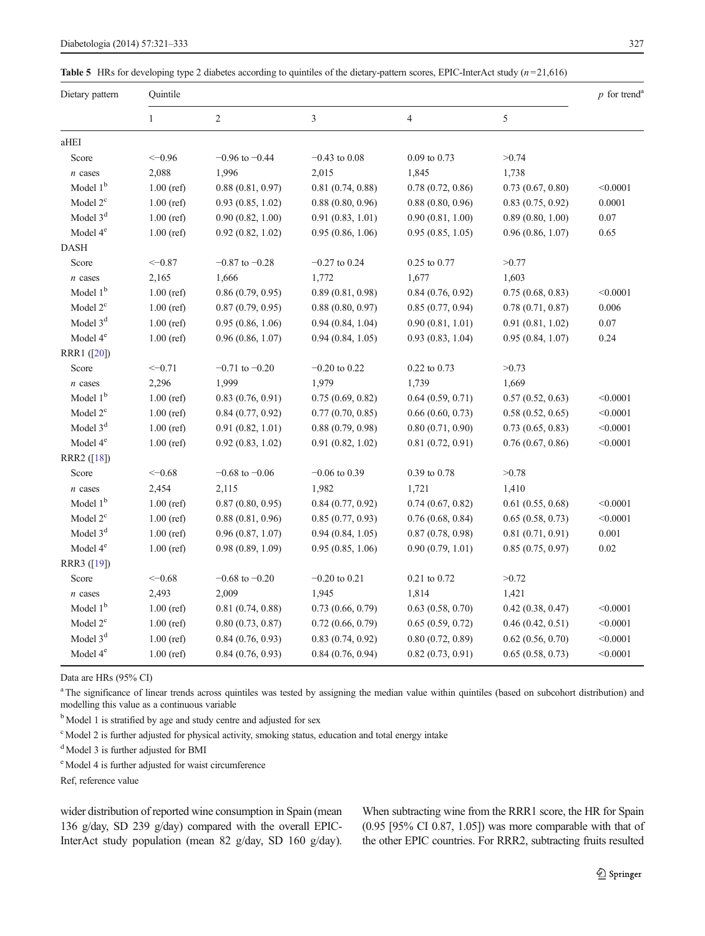#### <span id="page-6-0"></span>**Table 5** HRs for developing type 2 diabetes according to quintiles of the dietary-pattern scores, EPIC-InterAct study  $(n=21,616)$

| Dietary pattern      | Quintile     |                    |                  |                  |                  |          |  |  |
|----------------------|--------------|--------------------|------------------|------------------|------------------|----------|--|--|
|                      | $\mathbf{1}$ | $\sqrt{2}$         | 3                | $\overline{4}$   | 5                |          |  |  |
| aHEI                 |              |                    |                  |                  |                  |          |  |  |
| Score                | $<-0.96$     | $-0.96$ to $-0.44$ | $-0.43$ to 0.08  | $0.09$ to $0.73$ | >0.74            |          |  |  |
| $n$ cases            | 2,088        | 1,996              | 2,015            | 1,845            | 1,738            |          |  |  |
| Model $1b$           | $1.00$ (ref) | 0.88(0.81, 0.97)   | 0.81(0.74, 0.88) | 0.78(0.72, 0.86) | 0.73(0.67, 0.80) | < 0.0001 |  |  |
| Model $2^{\circ}$    | $1.00$ (ref) | 0.93(0.85, 1.02)   | 0.88(0.80, 0.96) | 0.88(0.80, 0.96) | 0.83(0.75, 0.92) | 0.0001   |  |  |
| Model 3 <sup>d</sup> | $1.00$ (ref) | 0.90(0.82, 1.00)   | 0.91(0.83, 1.01) | 0.90(0.81, 1.00) | 0.89(0.80, 1.00) | 0.07     |  |  |
| Model 4 <sup>e</sup> | $1.00$ (ref) | 0.92(0.82, 1.02)   | 0.95(0.86, 1.06) | 0.95(0.85, 1.05) | 0.96(0.86, 1.07) | 0.65     |  |  |
| <b>DASH</b>          |              |                    |                  |                  |                  |          |  |  |
| Score                | $<-0.87$     | $-0.87$ to $-0.28$ | $-0.27$ to 0.24  | 0.25 to 0.77     | >0.77            |          |  |  |
| $n$ cases            | 2,165        | 1,666              | 1,772            | 1,677            | 1,603            |          |  |  |
| Model $1b$           | $1.00$ (ref) | 0.86(0.79, 0.95)   | 0.89(0.81, 0.98) | 0.84(0.76, 0.92) | 0.75(0.68, 0.83) | < 0.0001 |  |  |
| Model $2c$           | $1.00$ (ref) | 0.87(0.79, 0.95)   | 0.88(0.80, 0.97) | 0.85(0.77, 0.94) | 0.78(0.71, 0.87) | 0.006    |  |  |
| Model 3 <sup>d</sup> | $1.00$ (ref) | 0.95(0.86, 1.06)   | 0.94(0.84, 1.04) | 0.90(0.81, 1.01) | 0.91(0.81, 1.02) | 0.07     |  |  |
| Model $4^e$          | $1.00$ (ref) | 0.96(0.86, 1.07)   | 0.94(0.84, 1.05) | 0.93(0.83, 1.04) | 0.95(0.84, 1.07) | 0.24     |  |  |
| RRR1 ([20])          |              |                    |                  |                  |                  |          |  |  |
| Score                | $<-0.71$     | $-0.71$ to $-0.20$ | $-0.20$ to 0.22  | 0.22 to 0.73     | >0.73            |          |  |  |
| $n$ cases            | 2,296        | 1,999              | 1,979            | 1,739            | 1,669            |          |  |  |
| Model $1b$           | $1.00$ (ref) | 0.83(0.76, 0.91)   | 0.75(0.69, 0.82) | 0.64(0.59, 0.71) | 0.57(0.52, 0.63) | < 0.0001 |  |  |
| Model $2^{\circ}$    | $1.00$ (ref) | 0.84(0.77, 0.92)   | 0.77(0.70, 0.85) | 0.66(0.60, 0.73) | 0.58(0.52, 0.65) | < 0.0001 |  |  |
| Model 3 <sup>d</sup> | $1.00$ (ref) | 0.91(0.82, 1.01)   | 0.88(0.79, 0.98) | 0.80(0.71, 0.90) | 0.73(0.65, 0.83) | < 0.0001 |  |  |
| Model 4 <sup>e</sup> | $1.00$ (ref) | 0.92(0.83, 1.02)   | 0.91(0.82, 1.02) | 0.81(0.72, 0.91) | 0.76(0.67, 0.86) | < 0.0001 |  |  |
| RRR2 ([18])          |              |                    |                  |                  |                  |          |  |  |
| Score                | $<-0.68$     | $-0.68$ to $-0.06$ | $-0.06$ to 0.39  | 0.39 to 0.78     | >0.78            |          |  |  |
| $n$ cases            | 2,454        | 2,115              | 1,982            | 1,721            | 1,410            |          |  |  |
| Model $1b$           | $1.00$ (ref) | 0.87(0.80, 0.95)   | 0.84(0.77, 0.92) | 0.74(0.67, 0.82) | 0.61(0.55, 0.68) | < 0.0001 |  |  |
| Model $2^{\circ}$    | $1.00$ (ref) | 0.88(0.81, 0.96)   | 0.85(0.77, 0.93) | 0.76(0.68, 0.84) | 0.65(0.58, 0.73) | < 0.0001 |  |  |
| Model 3 <sup>d</sup> | $1.00$ (ref) | 0.96(0.87, 1.07)   | 0.94(0.84, 1.05) | 0.87(0.78, 0.98) | 0.81(0.71, 0.91) | 0.001    |  |  |
| Model 4 <sup>e</sup> | $1.00$ (ref) | 0.98(0.89, 1.09)   | 0.95(0.85, 1.06) | 0.90(0.79, 1.01) | 0.85(0.75, 0.97) | 0.02     |  |  |
| RRR3 ([19])          |              |                    |                  |                  |                  |          |  |  |
| Score                | $<-0.68$     | $-0.68$ to $-0.20$ | $-0.20$ to 0.21  | 0.21 to 0.72     | >0.72            |          |  |  |
| $n$ cases            | 2,493        | 2,009              | 1,945            | 1,814            | 1,421            |          |  |  |
| Model $1b$           | $1.00$ (ref) | 0.81(0.74, 0.88)   | 0.73(0.66, 0.79) | 0.63(0.58, 0.70) | 0.42(0.38, 0.47) | < 0.0001 |  |  |
| Model $2^{\circ}$    | $1.00$ (ref) | 0.80(0.73, 0.87)   | 0.72(0.66, 0.79) | 0.65(0.59, 0.72) | 0.46(0.42, 0.51) | < 0.0001 |  |  |
| Model 3 <sup>d</sup> | $1.00$ (ref) | 0.84(0.76, 0.93)   | 0.83(0.74, 0.92) | 0.80(0.72, 0.89) | 0.62(0.56, 0.70) | < 0.0001 |  |  |
| Model 4 <sup>e</sup> | $1.00$ (ref) | 0.84(0.76, 0.93)   | 0.84(0.76, 0.94) | 0.82(0.73, 0.91) | 0.65(0.58, 0.73) | < 0.0001 |  |  |

Data are HRs (95% CI)

<sup>a</sup> The significance of linear trends across quintiles was tested by assigning the median value within quintiles (based on subcohort distribution) and modelling this value as a continuous variable

<sup>b</sup> Model 1 is stratified by age and study centre and adjusted for sex

<sup>c</sup> Model 2 is further adjusted for physical activity, smoking status, education and total energy intake

<sup>d</sup> Model 3 is further adjusted for BMI

e Model 4 is further adjusted for waist circumference

Ref, reference value

wider distribution of reported wine consumption in Spain (mean 136 g/day, SD 239 g/day) compared with the overall EPIC-InterAct study population (mean 82 g/day, SD 160 g/day). When subtracting wine from the RRR1 score, the HR for Spain (0.95 [95% CI 0.87, 1.05]) was more comparable with that of the other EPIC countries. For RRR2, subtracting fruits resulted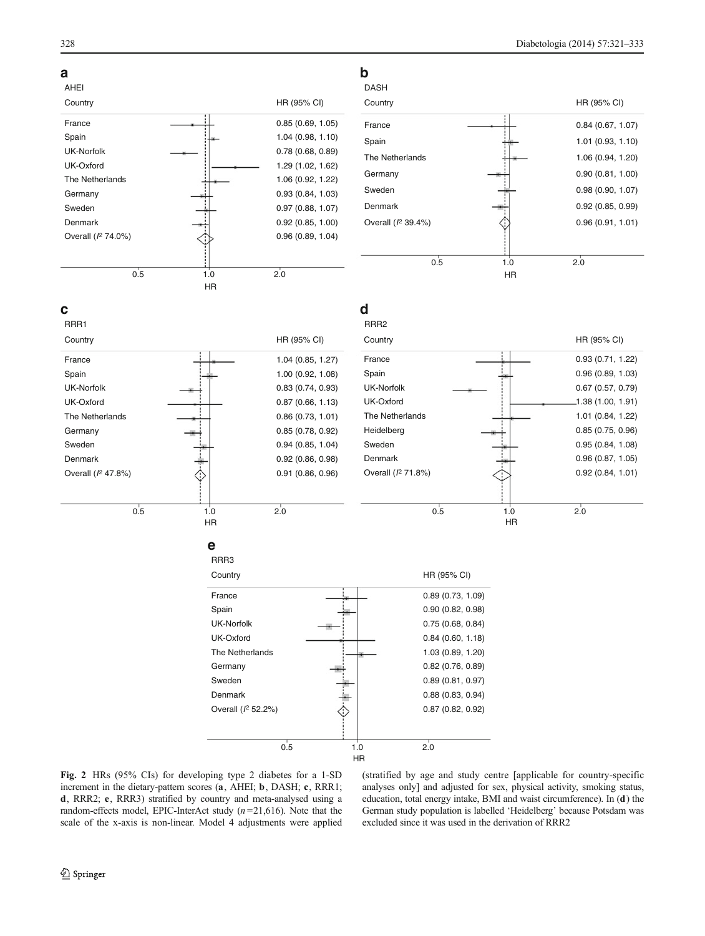<span id="page-7-0"></span>

Fig. 2 HRs (95% CIs) for developing type 2 diabetes for a 1-SD increment in the dietary-pattern scores (a, AHEI; b, DASH; c, RRR1; d, RRR2; e, RRR3) stratified by country and meta-analysed using a random-effects model, EPIC-InterAct study  $(n=21,616)$ . Note that the scale of the x-axis is non-linear. Model 4 adjustments were applied (stratified by age and study centre [applicable for country-specific analyses only] and adjusted for sex, physical activity, smoking status, education, total energy intake, BMI and waist circumference). In (d) the German study population is labelled 'Heidelberg' because Potsdam was excluded since it was used in the derivation of RRR2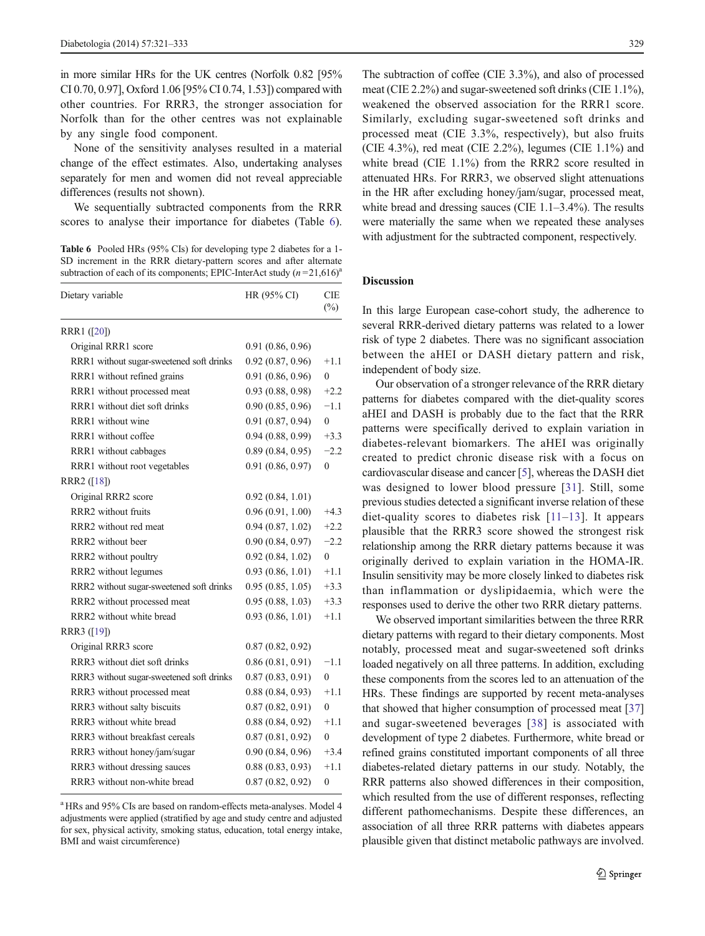in more similar HRs for the UK centres (Norfolk 0.82 [95% CI 0.70, 0.97], Oxford 1.06 [95% CI 0.74, 1.53]) compared with other countries. For RRR3, the stronger association for Norfolk than for the other centres was not explainable by any single food component.

None of the sensitivity analyses resulted in a material change of the effect estimates. Also, undertaking analyses separately for men and women did not reveal appreciable differences (results not shown).

We sequentially subtracted components from the RRR scores to analyse their importance for diabetes (Table 6).

Table 6 Pooled HRs (95% CIs) for developing type 2 diabetes for a 1-SD increment in the RRR dietary-pattern scores and after alternate subtraction of each of its components; EPIC-InterAct study  $(n=21,616)^{a}$ 

| Dietary variable                         | HR (95% CI)       | <b>CIE</b><br>$(\%)$ |
|------------------------------------------|-------------------|----------------------|
| RRR1 ([20])                              |                   |                      |
| Original RRR1 score                      | 0.91(0.86, 0.96)  |                      |
| RRR1 without sugar-sweetened soft drinks | 0.92(0.87, 0.96)  | $+1.1$               |
| RRR1 without refined grains              | 0.91 (0.86, 0.96) | $\Omega$             |
| RRR1 without processed meat              | 0.93(0.88, 0.98)  | $+2.2$               |
| RRR1 without diet soft drinks            | 0.90(0.85, 0.96)  | $-1.1$               |
| RRR1 without wine                        | 0.91(0.87, 0.94)  | $\theta$             |
| RRR1 without coffee                      | 0.94(0.88, 0.99)  | $+3.3$               |
| RRR1 without cabbages                    | 0.89(0.84, 0.95)  | $-2.2$               |
| RRR1 without root vegetables             | 0.91(0.86, 0.97)  | $\theta$             |
| RRR2 ([18])                              |                   |                      |
| Original RRR2 score                      | 0.92(0.84, 1.01)  |                      |
| RRR2 without fruits                      | 0.96(0.91, 1.00)  | $+4.3$               |
| RRR2 without red meat                    | 0.94(0.87, 1.02)  | $+2.2$               |
| RRR2 without beer                        | 0.90(0.84, 0.97)  | $-2.2$               |
| RRR2 without poultry                     | 0.92(0.84, 1.02)  | $\theta$             |
| RRR2 without legumes                     | 0.93(0.86, 1.01)  | $+1.1$               |
| RRR2 without sugar-sweetened soft drinks | 0.95(0.85, 1.05)  | $+3.3$               |
| RRR2 without processed meat              | 0.95(0.88, 1.03)  | $+3.3$               |
| RRR2 without white bread                 | 0.93(0.86, 1.01)  | $+1.1$               |
| RRR3 ([19])                              |                   |                      |
| Original RRR3 score                      | 0.87(0.82, 0.92)  |                      |
| RRR3 without diet soft drinks            | 0.86(0.81, 0.91)  | $-1.1$               |
| RRR3 without sugar-sweetened soft drinks | 0.87(0.83, 0.91)  | $\theta$             |
| RRR3 without processed meat              | 0.88(0.84, 0.93)  | $+1.1$               |
| RRR3 without salty biscuits              | 0.87(0.82, 0.91)  | $\theta$             |
| RRR3 without white bread                 | 0.88(0.84, 0.92)  | $+1.1$               |
| RRR3 without breakfast cereals           | 0.87(0.81, 0.92)  | $\theta$             |
| RRR3 without honey/jam/sugar             | 0.90(0.84, 0.96)  | $+3.4$               |
| RRR3 without dressing sauces             | 0.88(0.83, 0.93)  | $+1.1$               |
| RRR3 without non-white bread             | 0.87(0.82, 0.92)  | $\boldsymbol{0}$     |

<sup>a</sup> HRs and 95% CIs are based on random-effects meta-analyses. Model 4 adjustments were applied (stratified by age and study centre and adjusted for sex, physical activity, smoking status, education, total energy intake, BMI and waist circumference)

The subtraction of coffee (CIE 3.3%), and also of processed meat (CIE 2.2%) and sugar-sweetened soft drinks (CIE 1.1%), weakened the observed association for the RRR1 score. Similarly, excluding sugar-sweetened soft drinks and processed meat (CIE 3.3%, respectively), but also fruits (CIE 4.3%), red meat (CIE 2.2%), legumes (CIE 1.1%) and white bread (CIE 1.1%) from the RRR2 score resulted in attenuated HRs. For RRR3, we observed slight attenuations in the HR after excluding honey/jam/sugar, processed meat, white bread and dressing sauces (CIE 1.1–3.4%). The results were materially the same when we repeated these analyses with adjustment for the subtracted component, respectively.

# Discussion

In this large European case-cohort study, the adherence to several RRR-derived dietary patterns was related to a lower risk of type 2 diabetes. There was no significant association between the aHEI or DASH dietary pattern and risk, independent of body size.

Our observation of a stronger relevance of the RRR dietary patterns for diabetes compared with the diet-quality scores aHEI and DASH is probably due to the fact that the RRR patterns were specifically derived to explain variation in diabetes-relevant biomarkers. The aHEI was originally created to predict chronic disease risk with a focus on cardiovascular disease and cancer [[5\]](#page-11-0), whereas the DASH diet was designed to lower blood pressure [[31](#page-12-0)]. Still, some previous studies detected a significant inverse relation of these diet-quality scores to diabetes risk [[11](#page-11-0)–[13\]](#page-11-0). It appears plausible that the RRR3 score showed the strongest risk relationship among the RRR dietary patterns because it was originally derived to explain variation in the HOMA-IR. Insulin sensitivity may be more closely linked to diabetes risk than inflammation or dyslipidaemia, which were the responses used to derive the other two RRR dietary patterns.

We observed important similarities between the three RRR dietary patterns with regard to their dietary components. Most notably, processed meat and sugar-sweetened soft drinks loaded negatively on all three patterns. In addition, excluding these components from the scores led to an attenuation of the HRs. These findings are supported by recent meta-analyses that showed that higher consumption of processed meat [\[37](#page-12-0)] and sugar-sweetened beverages [[38](#page-12-0)] is associated with development of type 2 diabetes. Furthermore, white bread or refined grains constituted important components of all three diabetes-related dietary patterns in our study. Notably, the RRR patterns also showed differences in their composition, which resulted from the use of different responses, reflecting different pathomechanisms. Despite these differences, an association of all three RRR patterns with diabetes appears plausible given that distinct metabolic pathways are involved.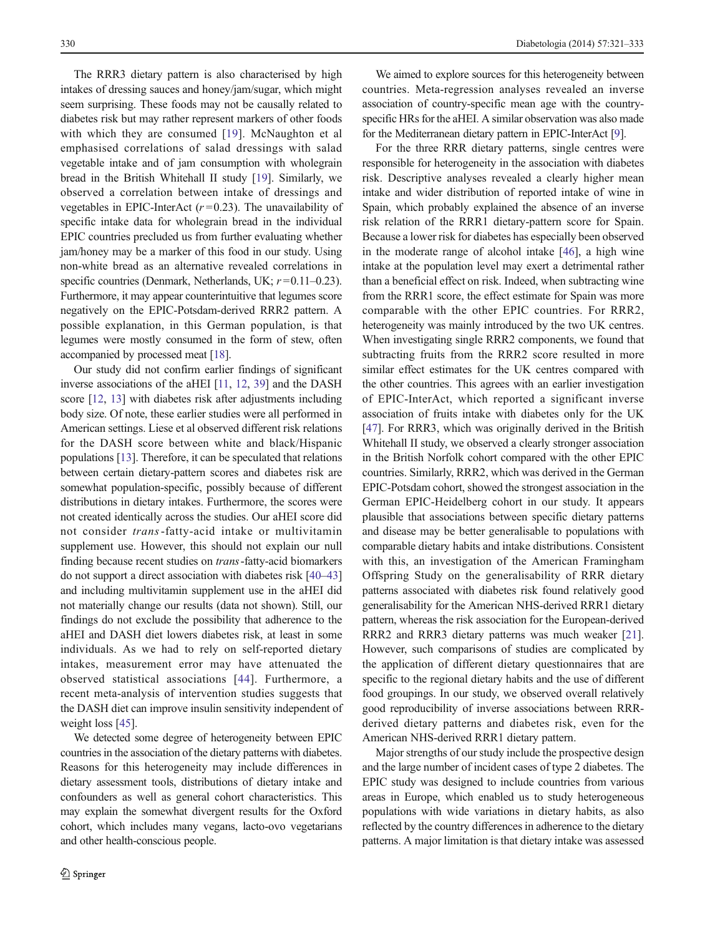The RRR3 dietary pattern is also characterised by high intakes of dressing sauces and honey/jam/sugar, which might seem surprising. These foods may not be causally related to diabetes risk but may rather represent markers of other foods with which they are consumed [[19](#page-11-0)]. McNaughton et al emphasised correlations of salad dressings with salad vegetable intake and of jam consumption with wholegrain bread in the British Whitehall II study [\[19](#page-11-0)]. Similarly, we observed a correlation between intake of dressings and vegetables in EPIC-InterAct  $(r=0.23)$ . The unavailability of specific intake data for wholegrain bread in the individual EPIC countries precluded us from further evaluating whether jam/honey may be a marker of this food in our study. Using non-white bread as an alternative revealed correlations in specific countries (Denmark, Netherlands, UK;  $r = 0.11 - 0.23$ ). Furthermore, it may appear counterintuitive that legumes score negatively on the EPIC-Potsdam-derived RRR2 pattern. A possible explanation, in this German population, is that legumes were mostly consumed in the form of stew, often accompanied by processed meat [\[18](#page-11-0)].

Our study did not confirm earlier findings of significant inverse associations of the aHEI [\[11,](#page-11-0) [12,](#page-11-0) [39](#page-12-0)] and the DASH score [[12,](#page-11-0) [13](#page-11-0)] with diabetes risk after adjustments including body size. Of note, these earlier studies were all performed in American settings. Liese et al observed different risk relations for the DASH score between white and black/Hispanic populations [[13](#page-11-0)]. Therefore, it can be speculated that relations between certain dietary-pattern scores and diabetes risk are somewhat population-specific, possibly because of different distributions in dietary intakes. Furthermore, the scores were not created identically across the studies. Our aHEI score did not consider trans-fatty-acid intake or multivitamin supplement use. However, this should not explain our null finding because recent studies on trans-fatty-acid biomarkers do not support a direct association with diabetes risk [\[40](#page-12-0)–[43\]](#page-12-0) and including multivitamin supplement use in the aHEI did not materially change our results (data not shown). Still, our findings do not exclude the possibility that adherence to the aHEI and DASH diet lowers diabetes risk, at least in some individuals. As we had to rely on self-reported dietary intakes, measurement error may have attenuated the observed statistical associations [[44\]](#page-12-0). Furthermore, a recent meta-analysis of intervention studies suggests that the DASH diet can improve insulin sensitivity independent of weight loss [[45\]](#page-12-0).

We detected some degree of heterogeneity between EPIC countries in the association of the dietary patterns with diabetes. Reasons for this heterogeneity may include differences in dietary assessment tools, distributions of dietary intake and confounders as well as general cohort characteristics. This may explain the somewhat divergent results for the Oxford cohort, which includes many vegans, lacto-ovo vegetarians and other health-conscious people.

We aimed to explore sources for this heterogeneity between countries. Meta-regression analyses revealed an inverse association of country-specific mean age with the countryspecific HRs for the aHEI. A similar observation was also made for the Mediterranean dietary pattern in EPIC-InterAct [\[9](#page-11-0)].

For the three RRR dietary patterns, single centres were responsible for heterogeneity in the association with diabetes risk. Descriptive analyses revealed a clearly higher mean intake and wider distribution of reported intake of wine in Spain, which probably explained the absence of an inverse risk relation of the RRR1 dietary-pattern score for Spain. Because a lower risk for diabetes has especially been observed in the moderate range of alcohol intake [[46\]](#page-12-0), a high wine intake at the population level may exert a detrimental rather than a beneficial effect on risk. Indeed, when subtracting wine from the RRR1 score, the effect estimate for Spain was more comparable with the other EPIC countries. For RRR2, heterogeneity was mainly introduced by the two UK centres. When investigating single RRR2 components, we found that subtracting fruits from the RRR2 score resulted in more similar effect estimates for the UK centres compared with the other countries. This agrees with an earlier investigation of EPIC-InterAct, which reported a significant inverse association of fruits intake with diabetes only for the UK [\[47](#page-12-0)]. For RRR3, which was originally derived in the British Whitehall II study, we observed a clearly stronger association in the British Norfolk cohort compared with the other EPIC countries. Similarly, RRR2, which was derived in the German EPIC-Potsdam cohort, showed the strongest association in the German EPIC-Heidelberg cohort in our study. It appears plausible that associations between specific dietary patterns and disease may be better generalisable to populations with comparable dietary habits and intake distributions. Consistent with this, an investigation of the American Framingham Offspring Study on the generalisability of RRR dietary patterns associated with diabetes risk found relatively good generalisability for the American NHS-derived RRR1 dietary pattern, whereas the risk association for the European-derived RRR2 and RRR3 dietary patterns was much weaker [[21\]](#page-11-0). However, such comparisons of studies are complicated by the application of different dietary questionnaires that are specific to the regional dietary habits and the use of different food groupings. In our study, we observed overall relatively good reproducibility of inverse associations between RRRderived dietary patterns and diabetes risk, even for the American NHS-derived RRR1 dietary pattern.

Major strengths of our study include the prospective design and the large number of incident cases of type 2 diabetes. The EPIC study was designed to include countries from various areas in Europe, which enabled us to study heterogeneous populations with wide variations in dietary habits, as also reflected by the country differences in adherence to the dietary patterns. A major limitation is that dietary intake was assessed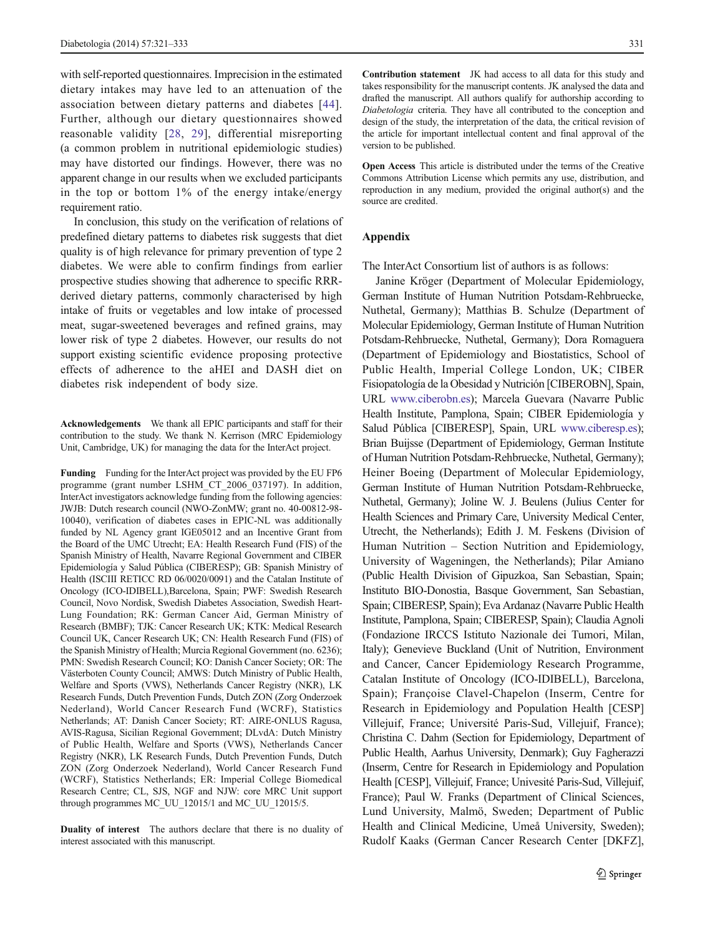<span id="page-10-0"></span>with self-reported questionnaires. Imprecision in the estimated dietary intakes may have led to an attenuation of the association between dietary patterns and diabetes [[44](#page-12-0)]. Further, although our dietary questionnaires showed reasonable validity [[28](#page-12-0), [29](#page-12-0)], differential misreporting (a common problem in nutritional epidemiologic studies) may have distorted our findings. However, there was no apparent change in our results when we excluded participants in the top or bottom 1% of the energy intake/energy requirement ratio.

In conclusion, this study on the verification of relations of predefined dietary patterns to diabetes risk suggests that diet quality is of high relevance for primary prevention of type 2 diabetes. We were able to confirm findings from earlier prospective studies showing that adherence to specific RRRderived dietary patterns, commonly characterised by high intake of fruits or vegetables and low intake of processed meat, sugar-sweetened beverages and refined grains, may lower risk of type 2 diabetes. However, our results do not support existing scientific evidence proposing protective effects of adherence to the aHEI and DASH diet on diabetes risk independent of body size.

Acknowledgements We thank all EPIC participants and staff for their contribution to the study. We thank N. Kerrison (MRC Epidemiology Unit, Cambridge, UK) for managing the data for the InterAct project.

Funding Funding for the InterAct project was provided by the EU FP6 programme (grant number LSHM\_CT\_2006\_037197). In addition, InterAct investigators acknowledge funding from the following agencies: JWJB: Dutch research council (NWO-ZonMW; grant no. 40-00812-98- 10040), verification of diabetes cases in EPIC-NL was additionally funded by NL Agency grant IGE05012 and an Incentive Grant from the Board of the UMC Utrecht; EA: Health Research Fund (FIS) of the Spanish Ministry of Health, Navarre Regional Government and CIBER Epidemiología y Salud Pública (CIBERESP); GB: Spanish Ministry of Health (ISCIII RETICC RD 06/0020/0091) and the Catalan Institute of Oncology (ICO-IDIBELL),Barcelona, Spain; PWF: Swedish Research Council, Novo Nordisk, Swedish Diabetes Association, Swedish Heart-Lung Foundation; RK: German Cancer Aid, German Ministry of Research (BMBF); TJK: Cancer Research UK; KTK: Medical Research Council UK, Cancer Research UK; CN: Health Research Fund (FIS) of the Spanish Ministry of Health; Murcia Regional Government (no. 6236); PMN: Swedish Research Council; KO: Danish Cancer Society; OR: The Västerboten County Council; AMWS: Dutch Ministry of Public Health, Welfare and Sports (VWS), Netherlands Cancer Registry (NKR), LK Research Funds, Dutch Prevention Funds, Dutch ZON (Zorg Onderzoek Nederland), World Cancer Research Fund (WCRF), Statistics Netherlands; AT: Danish Cancer Society; RT: AIRE-ONLUS Ragusa, AVIS-Ragusa, Sicilian Regional Government; DLvdA: Dutch Ministry of Public Health, Welfare and Sports (VWS), Netherlands Cancer Registry (NKR), LK Research Funds, Dutch Prevention Funds, Dutch ZON (Zorg Onderzoek Nederland), World Cancer Research Fund (WCRF), Statistics Netherlands; ER: Imperial College Biomedical Research Centre; CL, SJS, NGF and NJW: core MRC Unit support through programmes MC\_UU\_12015/1 and MC\_UU\_12015/5.

Duality of interest The authors declare that there is no duality of interest associated with this manuscript.

Contribution statement JK had access to all data for this study and takes responsibility for the manuscript contents. JK analysed the data and drafted the manuscript. All authors qualify for authorship according to Diabetologia criteria. They have all contributed to the conception and design of the study, the interpretation of the data, the critical revision of the article for important intellectual content and final approval of the version to be published.

Open Access This article is distributed under the terms of the Creative Commons Attribution License which permits any use, distribution, and reproduction in any medium, provided the original author(s) and the source are credited.

# Appendix

The InterAct Consortium list of authors is as follows:

Janine Kröger (Department of Molecular Epidemiology, German Institute of Human Nutrition Potsdam-Rehbruecke, Nuthetal, Germany); Matthias B. Schulze (Department of Molecular Epidemiology, German Institute of Human Nutrition Potsdam-Rehbruecke, Nuthetal, Germany); Dora Romaguera (Department of Epidemiology and Biostatistics, School of Public Health, Imperial College London, UK; CIBER Fisiopatología de la Obesidad y Nutrición [CIBEROBN], Spain, URL [www.ciberobn.es\)](http://www.ciberobn.es/); Marcela Guevara (Navarre Public Health Institute, Pamplona, Spain; CIBER Epidemiología y Salud Pública [CIBERESP], Spain, URL [www.ciberesp.es](http://www.ciberesp.es/)); Brian Buijsse (Department of Epidemiology, German Institute of Human Nutrition Potsdam-Rehbruecke, Nuthetal, Germany); Heiner Boeing (Department of Molecular Epidemiology, German Institute of Human Nutrition Potsdam-Rehbruecke, Nuthetal, Germany); Joline W. J. Beulens (Julius Center for Health Sciences and Primary Care, University Medical Center, Utrecht, the Netherlands); Edith J. M. Feskens (Division of Human Nutrition – Section Nutrition and Epidemiology, University of Wageningen, the Netherlands); Pilar Amiano (Public Health Division of Gipuzkoa, San Sebastian, Spain; Instituto BIO-Donostia, Basque Government, San Sebastian, Spain; CIBERESP, Spain); Eva Ardanaz (Navarre Public Health Institute, Pamplona, Spain; CIBERESP, Spain); Claudia Agnoli (Fondazione IRCCS Istituto Nazionale dei Tumori, Milan, Italy); Genevieve Buckland (Unit of Nutrition, Environment and Cancer, Cancer Epidemiology Research Programme, Catalan Institute of Oncology (ICO-IDIBELL), Barcelona, Spain); Françoise Clavel-Chapelon (Inserm, Centre for Research in Epidemiology and Population Health [CESP] Villejuif, France; Université Paris-Sud, Villejuif, France); Christina C. Dahm (Section for Epidemiology, Department of Public Health, Aarhus University, Denmark); Guy Fagherazzi (Inserm, Centre for Research in Epidemiology and Population Health [CESP], Villejuif, France; Univesité Paris-Sud, Villejuif, France); Paul W. Franks (Department of Clinical Sciences, Lund University, Malmö, Sweden; Department of Public Health and Clinical Medicine, Umeå University, Sweden); Rudolf Kaaks (German Cancer Research Center [DKFZ],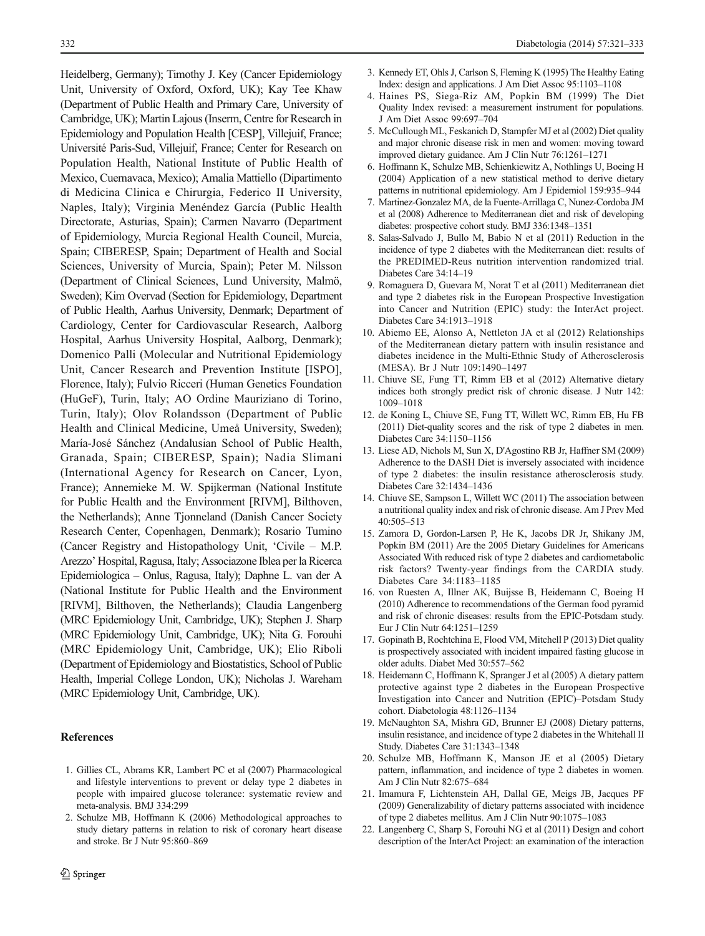<span id="page-11-0"></span>Heidelberg, Germany); Timothy J. Key (Cancer Epidemiology Unit, University of Oxford, Oxford, UK); Kay Tee Khaw (Department of Public Health and Primary Care, University of Cambridge, UK); Martin Lajous (Inserm, Centre for Research in Epidemiology and Population Health [CESP], Villejuif, France; Université Paris-Sud, Villejuif, France; Center for Research on Population Health, National Institute of Public Health of Mexico, Cuernavaca, Mexico); Amalia Mattiello (Dipartimento di Medicina Clinica e Chirurgia, Federico II University, Naples, Italy); Virginia Menéndez García (Public Health Directorate, Asturias, Spain); Carmen Navarro (Department of Epidemiology, Murcia Regional Health Council, Murcia, Spain; CIBERESP, Spain; Department of Health and Social Sciences, University of Murcia, Spain); Peter M. Nilsson (Department of Clinical Sciences, Lund University, Malmö, Sweden); Kim Overvad (Section for Epidemiology, Department of Public Health, Aarhus University, Denmark; Department of Cardiology, Center for Cardiovascular Research, Aalborg Hospital, Aarhus University Hospital, Aalborg, Denmark); Domenico Palli (Molecular and Nutritional Epidemiology Unit, Cancer Research and Prevention Institute [ISPO], Florence, Italy); Fulvio Ricceri (Human Genetics Foundation (HuGeF), Turin, Italy; AO Ordine Mauriziano di Torino, Turin, Italy); Olov Rolandsson (Department of Public Health and Clinical Medicine, Umeå University, Sweden); María-José Sánchez (Andalusian School of Public Health, Granada, Spain; CIBERESP, Spain); Nadia Slimani (International Agency for Research on Cancer, Lyon, France); Annemieke M. W. Spijkerman (National Institute for Public Health and the Environment [RIVM], Bilthoven, the Netherlands); Anne Tjonneland (Danish Cancer Society Research Center, Copenhagen, Denmark); Rosario Tumino (Cancer Registry and Histopathology Unit, 'Civile – M.P. Arezzo' Hospital, Ragusa, Italy; Associazone Iblea per la Ricerca Epidemiologica – Onlus, Ragusa, Italy); Daphne L. van der A (National Institute for Public Health and the Environment [RIVM], Bilthoven, the Netherlands); Claudia Langenberg (MRC Epidemiology Unit, Cambridge, UK); Stephen J. Sharp (MRC Epidemiology Unit, Cambridge, UK); Nita G. Forouhi (MRC Epidemiology Unit, Cambridge, UK); Elio Riboli (Department of Epidemiology and Biostatistics, School of Public Health, Imperial College London, UK); Nicholas J. Wareham (MRC Epidemiology Unit, Cambridge, UK).

# **References**

- 1. Gillies CL, Abrams KR, Lambert PC et al (2007) Pharmacological and lifestyle interventions to prevent or delay type 2 diabetes in people with impaired glucose tolerance: systematic review and meta-analysis. BMJ 334:299
- 2. Schulze MB, Hoffmann K (2006) Methodological approaches to study dietary patterns in relation to risk of coronary heart disease and stroke. Br J Nutr 95:860–869
- 3. Kennedy ET, Ohls J, Carlson S, Fleming K (1995) The Healthy Eating Index: design and applications. J Am Diet Assoc 95:1103–1108
- 4. Haines PS, Siega-Riz AM, Popkin BM (1999) The Diet Quality Index revised: a measurement instrument for populations. J Am Diet Assoc 99:697–704
- 5. McCullough ML, Feskanich D, Stampfer MJ et al (2002) Diet quality and major chronic disease risk in men and women: moving toward improved dietary guidance. Am J Clin Nutr 76:1261–1271
- 6. Hoffmann K, Schulze MB, Schienkiewitz A, Nothlings U, Boeing H (2004) Application of a new statistical method to derive dietary patterns in nutritional epidemiology. Am J Epidemiol 159:935–944
- 7. Martinez-Gonzalez MA, de la Fuente-Arrillaga C, Nunez-Cordoba JM et al (2008) Adherence to Mediterranean diet and risk of developing diabetes: prospective cohort study. BMJ 336:1348–1351
- 8. Salas-Salvado J, Bullo M, Babio N et al (2011) Reduction in the incidence of type 2 diabetes with the Mediterranean diet: results of the PREDIMED-Reus nutrition intervention randomized trial. Diabetes Care 34:14–19
- 9. Romaguera D, Guevara M, Norat T et al (2011) Mediterranean diet and type 2 diabetes risk in the European Prospective Investigation into Cancer and Nutrition (EPIC) study: the InterAct project. Diabetes Care 34:1913–1918
- 10. Abiemo EE, Alonso A, Nettleton JA et al (2012) Relationships of the Mediterranean dietary pattern with insulin resistance and diabetes incidence in the Multi-Ethnic Study of Atherosclerosis (MESA). Br J Nutr 109:1490–1497
- 11. Chiuve SE, Fung TT, Rimm EB et al (2012) Alternative dietary indices both strongly predict risk of chronic disease. J Nutr 142: 1009–1018
- 12. de Koning L, Chiuve SE, Fung TT, Willett WC, Rimm EB, Hu FB (2011) Diet-quality scores and the risk of type 2 diabetes in men. Diabetes Care 34:1150–1156
- 13. Liese AD, Nichols M, Sun X, D'Agostino RB Jr, Haffner SM (2009) Adherence to the DASH Diet is inversely associated with incidence of type 2 diabetes: the insulin resistance atherosclerosis study. Diabetes Care 32:1434–1436
- 14. Chiuve SE, Sampson L, Willett WC (2011) The association between a nutritional quality index and risk of chronic disease. Am J Prev Med  $40:505 - 513$
- 15. Zamora D, Gordon-Larsen P, He K, Jacobs DR Jr, Shikany JM, Popkin BM (2011) Are the 2005 Dietary Guidelines for Americans Associated With reduced risk of type 2 diabetes and cardiometabolic risk factors? Twenty-year findings from the CARDIA study. Diabetes Care 34:1183–1185
- 16. von Ruesten A, Illner AK, Buijsse B, Heidemann C, Boeing H (2010) Adherence to recommendations of the German food pyramid and risk of chronic diseases: results from the EPIC-Potsdam study. Eur J Clin Nutr 64:1251–1259
- 17. Gopinath B, Rochtchina E, Flood VM, Mitchell P (2013) Diet quality is prospectively associated with incident impaired fasting glucose in older adults. Diabet Med 30:557–562
- 18. Heidemann C, Hoffmann K, Spranger J et al (2005) A dietary pattern protective against type 2 diabetes in the European Prospective Investigation into Cancer and Nutrition (EPIC)–Potsdam Study cohort. Diabetologia 48:1126–1134
- 19. McNaughton SA, Mishra GD, Brunner EJ (2008) Dietary patterns, insulin resistance, and incidence of type 2 diabetes in the Whitehall II Study. Diabetes Care 31:1343–1348
- 20. Schulze MB, Hoffmann K, Manson JE et al (2005) Dietary pattern, inflammation, and incidence of type 2 diabetes in women. Am J Clin Nutr 82:675–684
- 21. Imamura F, Lichtenstein AH, Dallal GE, Meigs JB, Jacques PF (2009) Generalizability of dietary patterns associated with incidence of type 2 diabetes mellitus. Am J Clin Nutr 90:1075–1083
- 22. Langenberg C, Sharp S, Forouhi NG et al (2011) Design and cohort description of the InterAct Project: an examination of the interaction